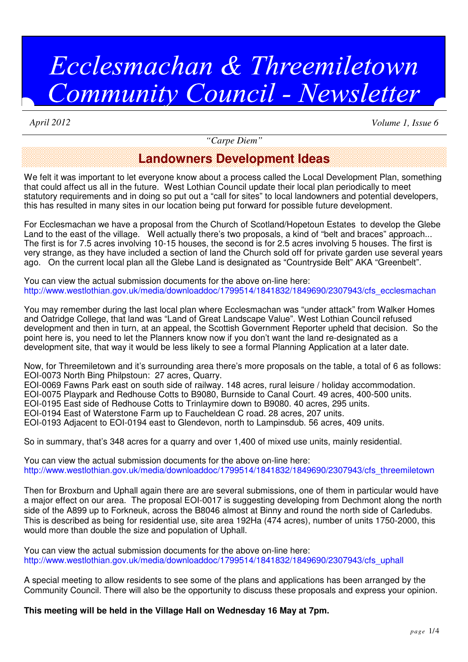# Ecclesmachan & Threemiletown Community Council - Newsletter

*April 2012 Volume 1, Issue 6*

*"Carpe Diem"*

#### **Landowners Development Ideas**

We felt it was important to let everyone know about a process called the Local Development Plan, something that could affect us all in the future. West Lothian Council update their local plan periodically to meet statutory requirements and in doing so put out a "call for sites" to local landowners and potential developers, this has resulted in many sites in our location being put forward for possible future development.

For Ecclesmachan we have a proposal from the Church of Scotland/Hopetoun Estates to develop the Glebe Land to the east of the village. Well actually there's two proposals, a kind of "belt and braces" approach... The first is for 7.5 acres involving 10-15 houses, the second is for 2.5 acres involving 5 houses. The first is very strange, as they have included a section of land the Church sold off for private garden use several years ago. On the current local plan all the Glebe Land is designated as "Countryside Belt" AKA "Greenbelt".

You can view the actual submission documents for the above on-line here: http://www.westlothian.gov.uk/media/downloaddoc/1799514/1841832/1849690/2307943/cfs\_ecclesmachan

You may remember during the last local plan where Ecclesmachan was "under attack" from Walker Homes and Oatridge College, that land was "Land of Great Landscape Value". West Lothian Council refused development and then in turn, at an appeal, the Scottish Government Reporter upheld that decision. So the point here is, you need to let the Planners know now if you don't want the land re-designated as a development site, that way it would be less likely to see a formal Planning Application at a later date.

Now, for Threemiletown and it's surrounding area there's more proposals on the table, a total of 6 as follows: EOI-0073 North Bing Philpstoun: 27 acres, Quarry.

EOI-0069 Fawns Park east on south side of railway. 148 acres, rural leisure / holiday accommodation.

EOI-0075 Playpark and Redhouse Cotts to B9080, Burnside to Canal Court. 49 acres, 400-500 units.

EOI-0195 East side of Redhouse Cotts to Trinlaymire down to B9080. 40 acres, 295 units.

EOI-0194 East of Waterstone Farm up to Faucheldean C road. 28 acres, 207 units.

EOI-0193 Adjacent to EOI-0194 east to Glendevon, north to Lampinsdub. 56 acres, 409 units.

So in summary, that's 348 acres for a quarry and over 1,400 of mixed use units, mainly residential.

You can view the actual submission documents for the above on-line here: http://www.westlothian.gov.uk/media/downloaddoc/1799514/1841832/1849690/2307943/cfs\_threemiletown

Then for Broxburn and Uphall again there are are several submissions, one of them in particular would have a major effect on our area. The proposal EOI-0017 is suggesting developing from Dechmont along the north side of the A899 up to Forkneuk, across the B8046 almost at Binny and round the north side of Carledubs. This is described as being for residential use, site area 192Ha (474 acres), number of units 1750-2000, this would more than double the size and population of Uphall.

You can view the actual submission documents for the above on-line here: http://www.westlothian.gov.uk/media/downloaddoc/1799514/1841832/1849690/2307943/cfs\_uphall

A special meeting to allow residents to see some of the plans and applications has been arranged by the Community Council. There will also be the opportunity to discuss these proposals and express your opinion.

**This meeting will be held in the Village Hall on Wednesday 16 May at 7pm.**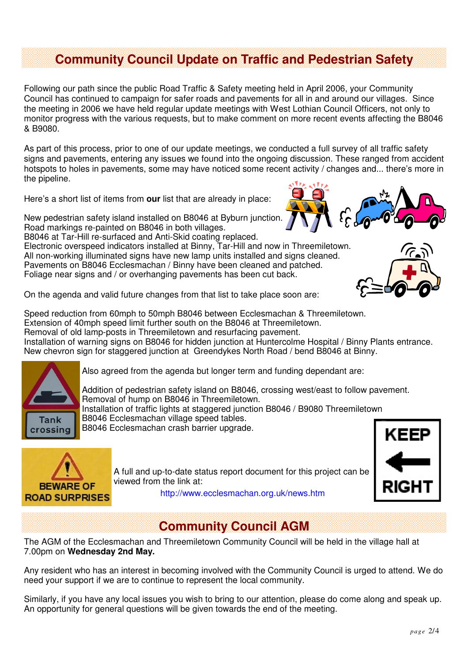## **Community Council Update on Traffic and Pedestrian Safety**

Following our path since the public Road Traffic & Safety meeting held in April 2006, your Community Council has continued to campaign for safer roads and pavements for all in and around our villages. Since the meeting in 2006 we have held regular update meetings with West Lothian Council Officers, not only to monitor progress with the various requests, but to make comment on more recent events affecting the B8046 & B9080.

As part of this process, prior to one of our update meetings, we conducted a full survey of all traffic safety signs and pavements, entering any issues we found into the ongoing discussion. These ranged from accident hotspots to holes in pavements, some may have noticed some recent activity / changes and... there's more in the pipeline.

Here's a short list of items from **our** list that are already in place:

New pedestrian safety island installed on B8046 at Byburn junction. Road markings re-painted on B8046 in both villages.

B8046 at Tar-Hill re-surfaced and Anti-Skid coating replaced. Electronic overspeed indicators installed at Binny, Tar-Hill and now in Threemiletown. All non-working illuminated signs have new lamp units installed and signs cleaned. Pavements on B8046 Ecclesmachan / Binny have been cleaned and patched. Foliage near signs and / or overhanging pavements has been cut back.



On the agenda and valid future changes from that list to take place soon are:

Speed reduction from 60mph to 50mph B8046 between Ecclesmachan & Threemiletown. Extension of 40mph speed limit further south on the B8046 at Threemiletown. Removal of old lamp-posts in Threemiletown and resurfacing pavement. Installation of warning signs on B8046 for hidden junction at Huntercolme Hospital / Binny Plants entrance. New chevron sign for staggered junction at Greendykes North Road / bend B8046 at Binny.



Also agreed from the agenda but longer term and funding dependant are:

Addition of pedestrian safety island on B8046, crossing west/east to follow pavement. Removal of hump on B8046 in Threemiletown. Installation of traffic lights at staggered junction B8046 / B9080 Threemiletown B8046 Ecclesmachan village speed tables. B8046 Ecclesmachan crash barrier upgrade.



A full and up-to-date status report document for this project can be viewed from the link at:



http://www.ecclesmachan.org.uk/news.htm

# **Community Council AGM**

The AGM of the Ecclesmachan and Threemiletown Community Council will be held in the village hall at 7.00pm on **Wednesday 2nd May.**

Any resident who has an interest in becoming involved with the Community Council is urged to attend. We do need your support if we are to continue to represent the local community.

Similarly, if you have any local issues you wish to bring to our attention, please do come along and speak up. An opportunity for general questions will be given towards the end of the meeting.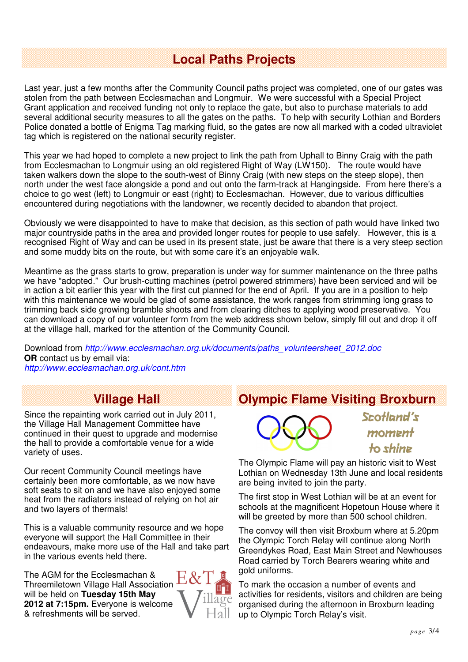### **Local Paths Projects**

Last year, just a few months after the Community Council paths project was completed, one of our gates was stolen from the path between Ecclesmachan and Longmuir. We were successful with a Special Project Grant application and received funding not only to replace the gate, but also to purchase materials to add several additional security measures to all the gates on the paths. To help with security Lothian and Borders Police donated a bottle of Enigma Tag marking fluid, so the gates are now all marked with a coded ultraviolet tag which is registered on the national security register.

This year we had hoped to complete a new project to link the path from Uphall to Binny Craig with the path from Ecclesmachan to Longmuir using an old registered Right of Way (LW150). The route would have taken walkers down the slope to the south-west of Binny Craig (with new steps on the steep slope), then north under the west face alongside a pond and out onto the farm-track at Hangingside. From here there's a choice to go west (left) to Longmuir or east (right) to Ecclesmachan. However, due to various difficulties encountered during negotiations with the landowner, we recently decided to abandon that project.

Obviously we were disappointed to have to make that decision, as this section of path would have linked two major countryside paths in the area and provided longer routes for people to use safely. However, this is a recognised Right of Way and can be used in its present state, just be aware that there is a very steep section and some muddy bits on the route, but with some care it's an enjoyable walk.

Meantime as the grass starts to grow, preparation is under way for summer maintenance on the three paths we have "adopted." Our brush-cutting machines (petrol powered strimmers) have been serviced and will be in action a bit earlier this year with the first cut planned for the end of April. If you are in a position to help with this maintenance we would be glad of some assistance, the work ranges from strimming long grass to trimming back side growing bramble shoots and from clearing ditches to applying wood preservative. You can download a copy of our volunteer form from the web address shown below, simply fill out and drop it off at the village hall, marked for the attention of the Community Council.

Download from http://www.ecclesmachan.org.uk/documents/paths\_volunteersheet\_2012.doc **OR** contact us by email via: http://www.ecclesmachan.org.uk/cont.htm

## **Village Hall**

Since the repainting work carried out in July 2011, the Village Hall Management Committee have continued in their quest to upgrade and modernise the hall to provide a comfortable venue for a wide variety of uses.

Our recent Community Council meetings have certainly been more comfortable, as we now have soft seats to sit on and we have also enjoyed some heat from the radiators instead of relying on hot air and two layers of thermals!

This is a valuable community resource and we hope everyone will support the Hall Committee in their endeavours, make more use of the Hall and take part in the various events held there.

The AGM for the Ecclesmachan & Threemiletown Village Hall Association will be held on **Tuesday 15th May 2012 at 7:15pm.** Everyone is welcome & refreshments will be served.



## **Olympic Flame Visiting Broxburn**



Scotland's moment to shine

The Olympic Flame will pay an historic visit to West Lothian on Wednesday 13th June and local residents are being invited to join the party.

The first stop in West Lothian will be at an event for schools at the magnificent Hopetoun House where it will be greeted by more than 500 school children.

The convoy will then visit Broxburn where at 5.20pm the Olympic Torch Relay will continue along North Greendykes Road, East Main Street and Newhouses Road carried by Torch Bearers wearing white and gold uniforms.

To mark the occasion a number of events and activities for residents, visitors and children are being organised during the afternoon in Broxburn leading up to Olympic Torch Relay's visit.